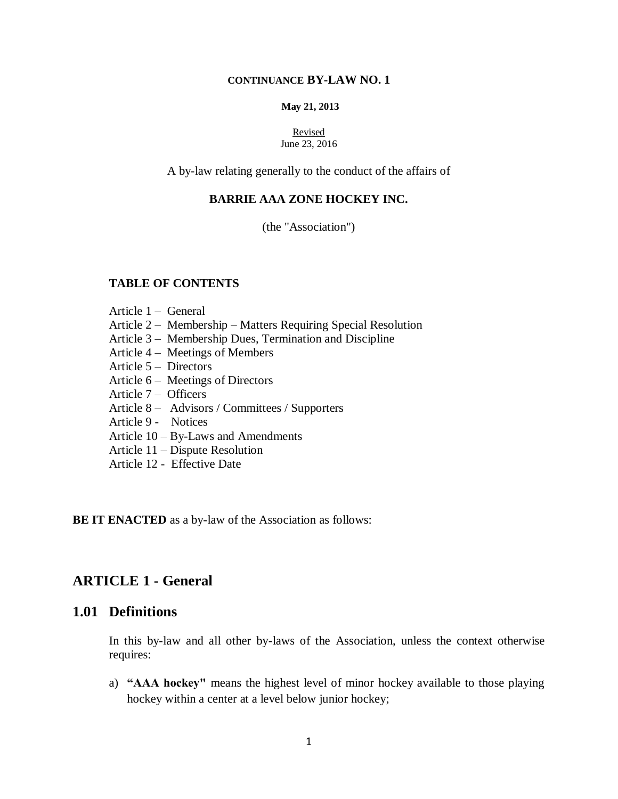#### **CONTINUANCE BY-LAW NO. 1**

#### **May 21, 2013**

#### Revised June 23, 2016

A by-law relating generally to the conduct of the affairs of

#### **BARRIE AAA ZONE HOCKEY INC.**

(the "Association")

### **TABLE OF CONTENTS**

- Article 1 General
- Article 2 Membership Matters Requiring Special Resolution
- Article 3 Membership Dues, Termination and Discipline
- Article 4 Meetings of Members
- Article 5 Directors
- Article 6 Meetings of Directors
- Article 7 Officers
- Article 8 Advisors / Committees / Supporters
- Article 9 Notices
- Article 10 By-Laws and Amendments
- Article 11 Dispute Resolution
- Article 12 Effective Date

#### **BE IT ENACTED** as a by-law of the Association as follows:

## **ARTICLE 1 - General**

### **1.01 Definitions**

In this by-law and all other by-laws of the Association, unless the context otherwise requires:

a) **"AAA hockey"** means the highest level of minor hockey available to those playing hockey within a center at a level below junior hockey;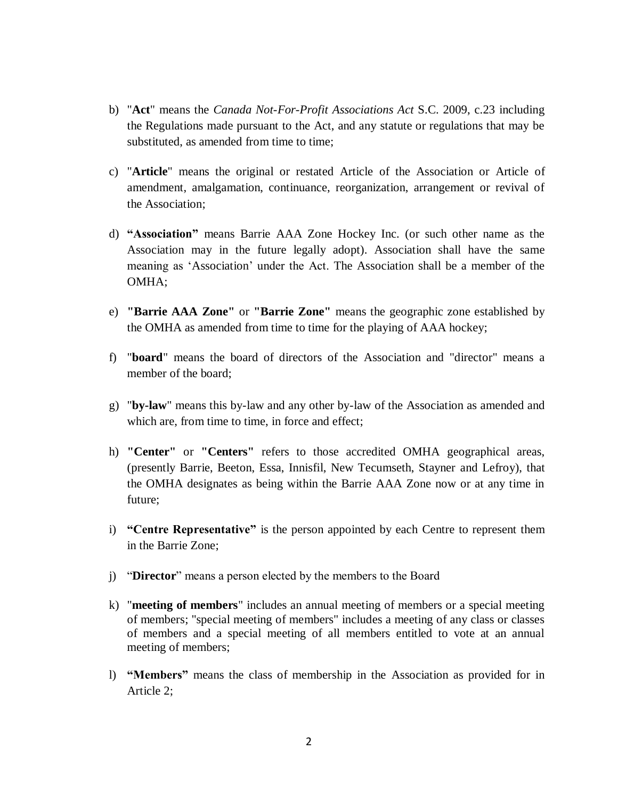- b) "**Act**" means the *Canada Not-For-Profit Associations Act* S.C. 2009, c.23 including the Regulations made pursuant to the Act, and any statute or regulations that may be substituted, as amended from time to time;
- c) "**Article**" means the original or restated Article of the Association or Article of amendment, amalgamation, continuance, reorganization, arrangement or revival of the Association;
- d) **"Association"** means Barrie AAA Zone Hockey Inc. (or such other name as the Association may in the future legally adopt). Association shall have the same meaning as 'Association' under the Act. The Association shall be a member of the OMHA;
- e) **"Barrie AAA Zone"** or **"Barrie Zone"** means the geographic zone established by the OMHA as amended from time to time for the playing of AAA hockey;
- f) "**board**" means the board of directors of the Association and "director" means a member of the board;
- g) "**by-law**" means this by-law and any other by-law of the Association as amended and which are, from time to time, in force and effect;
- h) **"Center"** or **"Centers"** refers to those accredited OMHA geographical areas, (presently Barrie, Beeton, Essa, Innisfil, New Tecumseth, Stayner and Lefroy), that the OMHA designates as being within the Barrie AAA Zone now or at any time in future;
- i) **"Centre Representative"** is the person appointed by each Centre to represent them in the Barrie Zone;
- j) "**Director**" means a person elected by the members to the Board
- k) "**meeting of members**" includes an annual meeting of members or a special meeting of members; "special meeting of members" includes a meeting of any class or classes of members and a special meeting of all members entitled to vote at an annual meeting of members;
- l) **"Members"** means the class of membership in the Association as provided for in Article 2;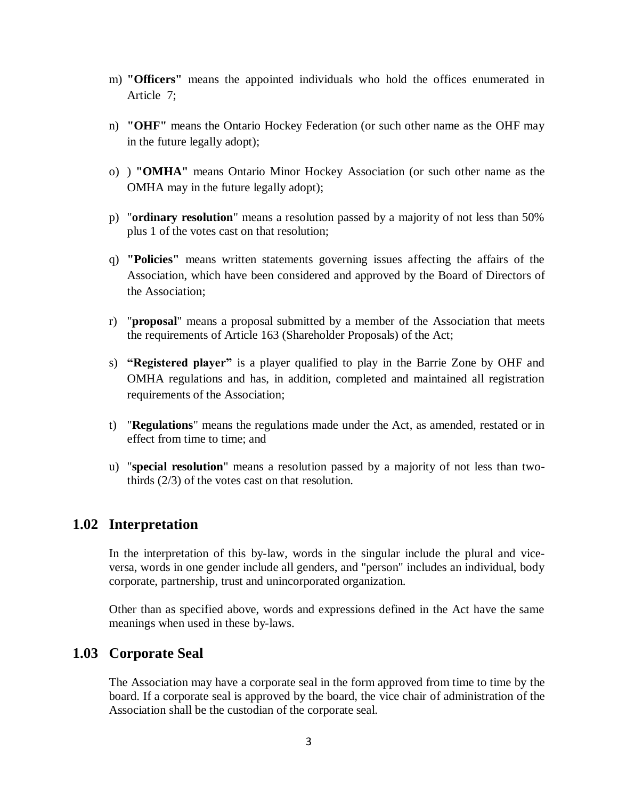- m) **"Officers"** means the appointed individuals who hold the offices enumerated in Article 7;
- n) **"OHF"** means the Ontario Hockey Federation (or such other name as the OHF may in the future legally adopt);
- o) ) **"OMHA"** means Ontario Minor Hockey Association (or such other name as the OMHA may in the future legally adopt);
- p) "**ordinary resolution**" means a resolution passed by a majority of not less than 50% plus 1 of the votes cast on that resolution;
- q) **"Policies"** means written statements governing issues affecting the affairs of the Association, which have been considered and approved by the Board of Directors of the Association;
- r) "**proposal**" means a proposal submitted by a member of the Association that meets the requirements of Article 163 (Shareholder Proposals) of the Act;
- s) **"Registered player"** is a player qualified to play in the Barrie Zone by OHF and OMHA regulations and has, in addition, completed and maintained all registration requirements of the Association;
- t) "**Regulations**" means the regulations made under the Act, as amended, restated or in effect from time to time; and
- u) "**special resolution**" means a resolution passed by a majority of not less than twothirds (2/3) of the votes cast on that resolution.

## **1.02 Interpretation**

In the interpretation of this by-law, words in the singular include the plural and viceversa, words in one gender include all genders, and "person" includes an individual, body corporate, partnership, trust and unincorporated organization.

Other than as specified above, words and expressions defined in the Act have the same meanings when used in these by-laws.

## **1.03 Corporate Seal**

The Association may have a corporate seal in the form approved from time to time by the board. If a corporate seal is approved by the board, the vice chair of administration of the Association shall be the custodian of the corporate seal.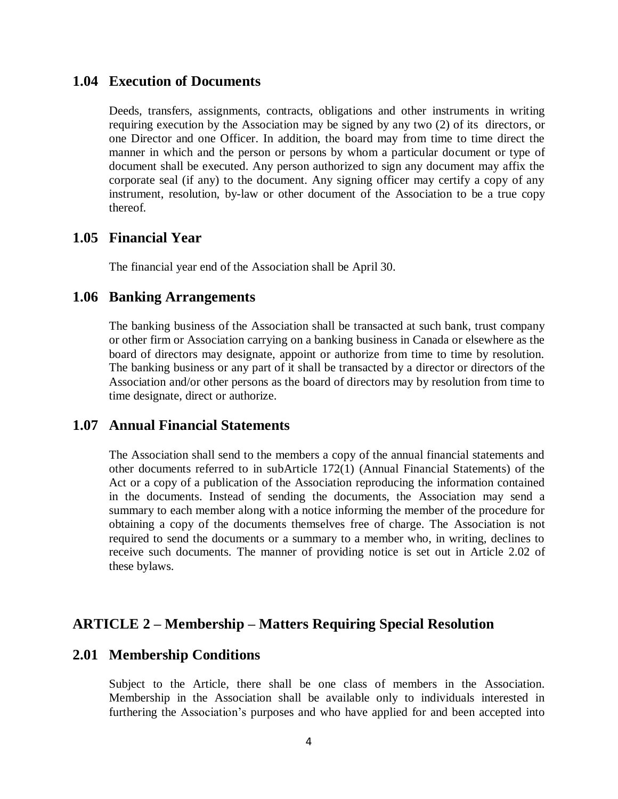### **1.04 Execution of Documents**

Deeds, transfers, assignments, contracts, obligations and other instruments in writing requiring execution by the Association may be signed by any two (2) of its directors, or one Director and one Officer. In addition, the board may from time to time direct the manner in which and the person or persons by whom a particular document or type of document shall be executed. Any person authorized to sign any document may affix the corporate seal (if any) to the document. Any signing officer may certify a copy of any instrument, resolution, by-law or other document of the Association to be a true copy thereof.

### **1.05 Financial Year**

The financial year end of the Association shall be April 30.

### **1.06 Banking Arrangements**

The banking business of the Association shall be transacted at such bank, trust company or other firm or Association carrying on a banking business in Canada or elsewhere as the board of directors may designate, appoint or authorize from time to time by resolution. The banking business or any part of it shall be transacted by a director or directors of the Association and/or other persons as the board of directors may by resolution from time to time designate, direct or authorize.

### **1.07 Annual Financial Statements**

The Association shall send to the members a copy of the annual financial statements and other documents referred to in subArticle 172(1) (Annual Financial Statements) of the Act or a copy of a publication of the Association reproducing the information contained in the documents. Instead of sending the documents, the Association may send a summary to each member along with a notice informing the member of the procedure for obtaining a copy of the documents themselves free of charge. The Association is not required to send the documents or a summary to a member who, in writing, declines to receive such documents. The manner of providing notice is set out in Article 2.02 of these bylaws.

## **ARTICLE 2 – Membership – Matters Requiring Special Resolution**

#### **2.01 Membership Conditions**

Subject to the Article, there shall be one class of members in the Association. Membership in the Association shall be available only to individuals interested in furthering the Association's purposes and who have applied for and been accepted into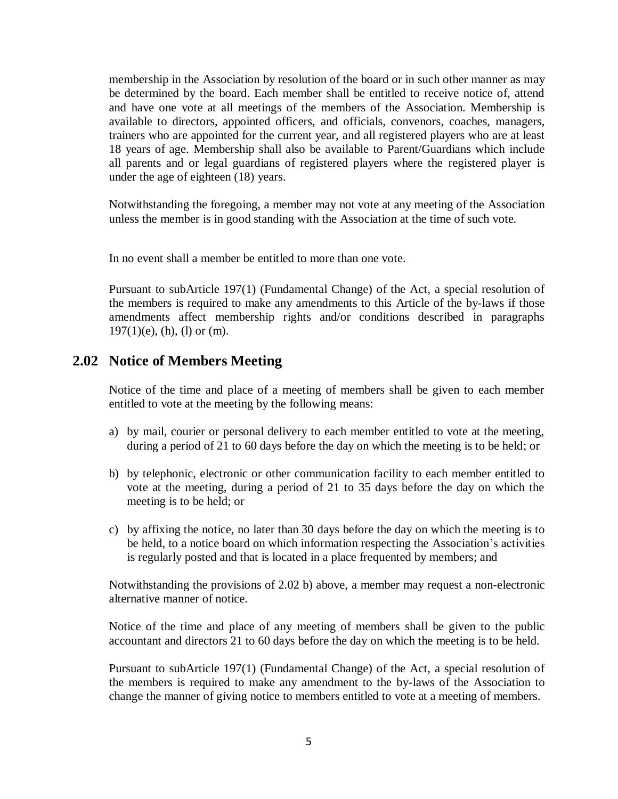membership in the Association by resolution of the board or in such other manner as may be determined by the board. Each member shall be entitled to receive notice of, attend and have one vote at all meetings of the members of the Association. Membership is available to directors, appointed officers, and officials, convenors, coaches, managers, trainers who are appointed for the current year, and all registered players who are at least 18 years of age. Membership shall also be available to Parent/Guardians which include all parents and or legal guardians of registered players where the registered player is under the age of eighteen (18) years.

Notwithstanding the foregoing, a member may not vote at any meeting of the Association unless the member is in good standing with the Association at the time of such vote.

In no event shall a member be entitled to more than one vote.

Pursuant to subArticle 197(1) (Fundamental Change) of the Act, a special resolution of the members is required to make any amendments to this Article of the by-laws if those amendments affect membership rights and/or conditions described in paragraphs  $197(1)(e)$ , (h), (l) or (m).

### **2.02 Notice of Members Meeting**

Notice of the time and place of a meeting of members shall be given to each member entitled to vote at the meeting by the following means:

- a) by mail, courier or personal delivery to each member entitled to vote at the meeting, during a period of 21 to 60 days before the day on which the meeting is to be held; or
- b) by telephonic, electronic or other communication facility to each member entitled to vote at the meeting, during a period of 21 to 35 days before the day on which the meeting is to be held; or
- c) by affixing the notice, no later than 30 days before the day on which the meeting is to be held, to a notice board on which information respecting the Association's activities is regularly posted and that is located in a place frequented by members; and

Notwithstanding the provisions of 2.02 b) above, a member may request a non-electronic alternative manner of notice.

Notice of the time and place of any meeting of members shall be given to the public accountant and directors 21 to 60 days before the day on which the meeting is to be held.

Pursuant to subArticle 197(1) (Fundamental Change) of the Act, a special resolution of the members is required to make any amendment to the by-laws of the Association to change the manner of giving notice to members entitled to vote at a meeting of members.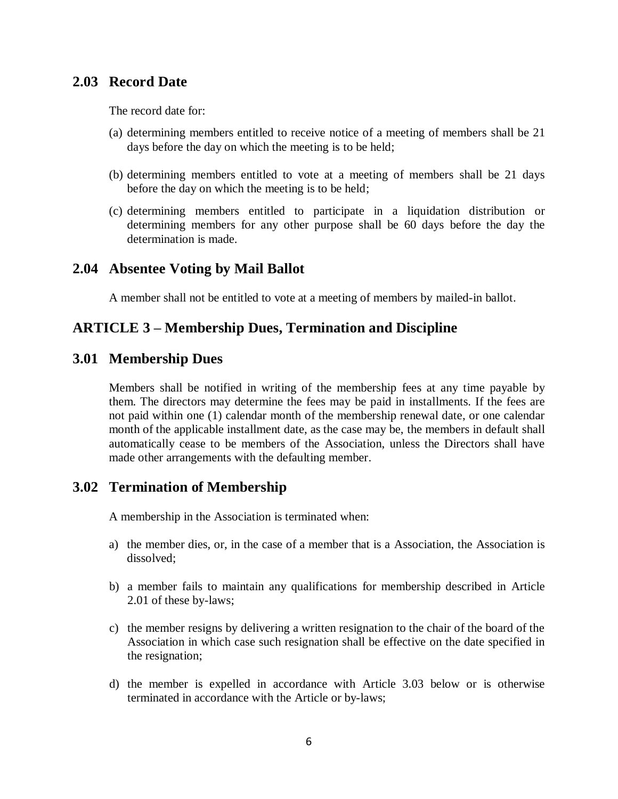# **2.03 Record Date**

The record date for:

- (a) determining members entitled to receive notice of a meeting of members shall be 21 days before the day on which the meeting is to be held;
- (b) determining members entitled to vote at a meeting of members shall be 21 days before the day on which the meeting is to be held;
- (c) determining members entitled to participate in a liquidation distribution or determining members for any other purpose shall be 60 days before the day the determination is made.

## **2.04 Absentee Voting by Mail Ballot**

A member shall not be entitled to vote at a meeting of members by mailed-in ballot.

## **ARTICLE 3 – Membership Dues, Termination and Discipline**

### **3.01 Membership Dues**

Members shall be notified in writing of the membership fees at any time payable by them. The directors may determine the fees may be paid in installments. If the fees are not paid within one (1) calendar month of the membership renewal date, or one calendar month of the applicable installment date, as the case may be, the members in default shall automatically cease to be members of the Association, unless the Directors shall have made other arrangements with the defaulting member.

## **3.02 Termination of Membership**

A membership in the Association is terminated when:

- a) the member dies, or, in the case of a member that is a Association, the Association is dissolved;
- b) a member fails to maintain any qualifications for membership described in Article 2.01 of these by-laws;
- c) the member resigns by delivering a written resignation to the chair of the board of the Association in which case such resignation shall be effective on the date specified in the resignation;
- d) the member is expelled in accordance with Article 3.03 below or is otherwise terminated in accordance with the Article or by-laws;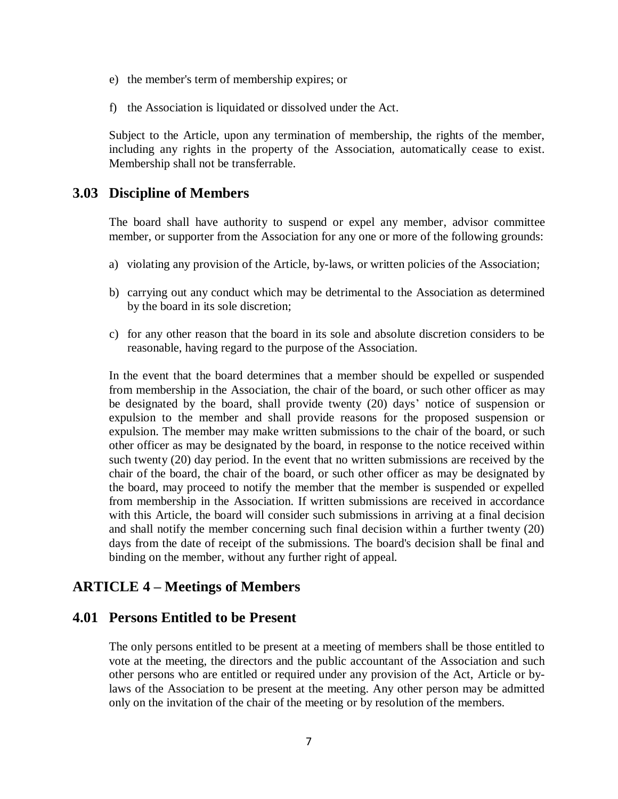- e) the member's term of membership expires; or
- f) the Association is liquidated or dissolved under the Act.

Subject to the Article, upon any termination of membership, the rights of the member, including any rights in the property of the Association, automatically cease to exist. Membership shall not be transferrable.

### **3.03 Discipline of Members**

The board shall have authority to suspend or expel any member, advisor committee member, or supporter from the Association for any one or more of the following grounds:

- a) violating any provision of the Article, by-laws, or written policies of the Association;
- b) carrying out any conduct which may be detrimental to the Association as determined by the board in its sole discretion;
- c) for any other reason that the board in its sole and absolute discretion considers to be reasonable, having regard to the purpose of the Association.

In the event that the board determines that a member should be expelled or suspended from membership in the Association, the chair of the board, or such other officer as may be designated by the board, shall provide twenty (20) days' notice of suspension or expulsion to the member and shall provide reasons for the proposed suspension or expulsion. The member may make written submissions to the chair of the board, or such other officer as may be designated by the board, in response to the notice received within such twenty (20) day period. In the event that no written submissions are received by the chair of the board, the chair of the board, or such other officer as may be designated by the board, may proceed to notify the member that the member is suspended or expelled from membership in the Association. If written submissions are received in accordance with this Article, the board will consider such submissions in arriving at a final decision and shall notify the member concerning such final decision within a further twenty (20) days from the date of receipt of the submissions. The board's decision shall be final and binding on the member, without any further right of appeal.

## **ARTICLE 4 – Meetings of Members**

### **4.01 Persons Entitled to be Present**

The only persons entitled to be present at a meeting of members shall be those entitled to vote at the meeting, the directors and the public accountant of the Association and such other persons who are entitled or required under any provision of the Act, Article or bylaws of the Association to be present at the meeting. Any other person may be admitted only on the invitation of the chair of the meeting or by resolution of the members.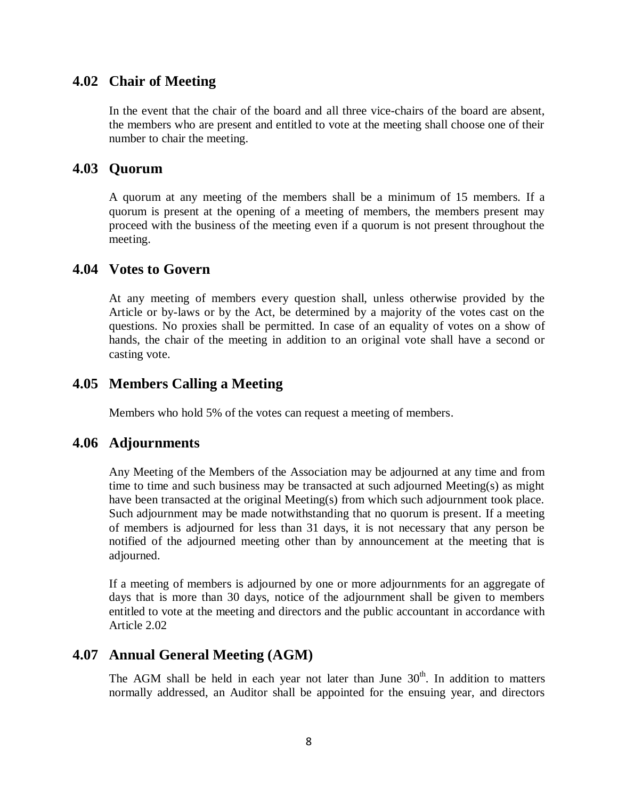# **4.02 Chair of Meeting**

In the event that the chair of the board and all three vice-chairs of the board are absent, the members who are present and entitled to vote at the meeting shall choose one of their number to chair the meeting.

### **4.03 Quorum**

A quorum at any meeting of the members shall be a minimum of 15 members*.* If a quorum is present at the opening of a meeting of members, the members present may proceed with the business of the meeting even if a quorum is not present throughout the meeting.

### **4.04 Votes to Govern**

At any meeting of members every question shall, unless otherwise provided by the Article or by-laws or by the Act, be determined by a majority of the votes cast on the questions. No proxies shall be permitted. In case of an equality of votes on a show of hands, the chair of the meeting in addition to an original vote shall have a second or casting vote.

# **4.05 Members Calling a Meeting**

Members who hold 5% of the votes can request a meeting of members.

### **4.06 Adjournments**

Any Meeting of the Members of the Association may be adjourned at any time and from time to time and such business may be transacted at such adjourned Meeting(s) as might have been transacted at the original Meeting(s) from which such adjournment took place. Such adjournment may be made notwithstanding that no quorum is present. If a meeting of members is adjourned for less than 31 days, it is not necessary that any person be notified of the adjourned meeting other than by announcement at the meeting that is adjourned.

If a meeting of members is adjourned by one or more adjournments for an aggregate of days that is more than 30 days, notice of the adjournment shall be given to members entitled to vote at the meeting and directors and the public accountant in accordance with Article 2.02

## **4.07 Annual General Meeting (AGM)**

The AGM shall be held in each year not later than June  $30<sup>th</sup>$ . In addition to matters normally addressed, an Auditor shall be appointed for the ensuing year, and directors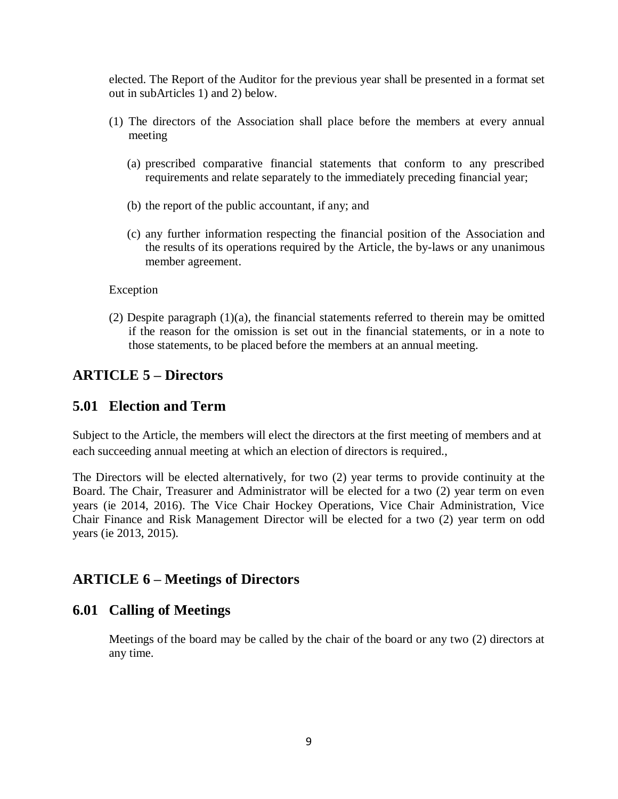elected. The Report of the Auditor for the previous year shall be presented in a format set out in subArticles 1) and 2) below.

- (1) The directors of the Association shall place before the members at every annual meeting
	- (a) prescribed comparative financial statements that conform to any prescribed requirements and relate separately to the immediately preceding financial year;
	- (b) the report of the public accountant, if any; and
	- (c) any further information respecting the financial position of the Association and the results of its operations required by the Article, the by-laws or any unanimous member agreement.

#### Exception

(2) Despite paragraph  $(1)(a)$ , the financial statements referred to therein may be omitted if the reason for the omission is set out in the financial statements, or in a note to those statements, to be placed before the members at an annual meeting.

# **ARTICLE 5 – Directors**

## **5.01 Election and Term**

Subject to the Article, the members will elect the directors at the first meeting of members and at each succeeding annual meeting at which an election of directors is required.,

The Directors will be elected alternatively, for two (2) year terms to provide continuity at the Board. The Chair, Treasurer and Administrator will be elected for a two (2) year term on even years (ie 2014, 2016). The Vice Chair Hockey Operations, Vice Chair Administration, Vice Chair Finance and Risk Management Director will be elected for a two (2) year term on odd years (ie 2013, 2015).

# **ARTICLE 6 – Meetings of Directors**

### **6.01 Calling of Meetings**

Meetings of the board may be called by the chair of the board or any two (2) directors at any time.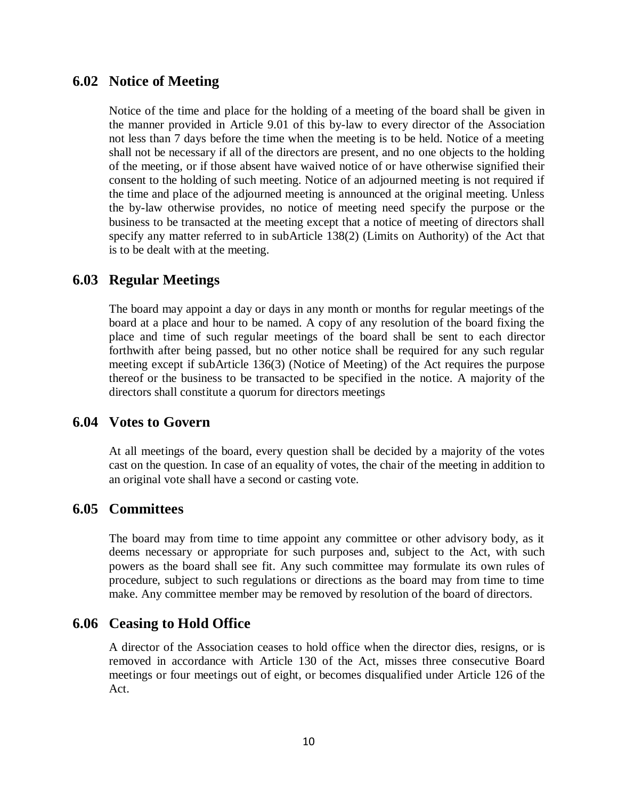## **6.02 Notice of Meeting**

Notice of the time and place for the holding of a meeting of the board shall be given in the manner provided in Article 9.01 of this by-law to every director of the Association not less than 7 days before the time when the meeting is to be held. Notice of a meeting shall not be necessary if all of the directors are present, and no one objects to the holding of the meeting, or if those absent have waived notice of or have otherwise signified their consent to the holding of such meeting. Notice of an adjourned meeting is not required if the time and place of the adjourned meeting is announced at the original meeting. Unless the by-law otherwise provides, no notice of meeting need specify the purpose or the business to be transacted at the meeting except that a notice of meeting of directors shall specify any matter referred to in subArticle 138(2) (Limits on Authority) of the Act that is to be dealt with at the meeting.

## **6.03 Regular Meetings**

The board may appoint a day or days in any month or months for regular meetings of the board at a place and hour to be named. A copy of any resolution of the board fixing the place and time of such regular meetings of the board shall be sent to each director forthwith after being passed, but no other notice shall be required for any such regular meeting except if subArticle 136(3) (Notice of Meeting) of the Act requires the purpose thereof or the business to be transacted to be specified in the notice. A majority of the directors shall constitute a quorum for directors meetings

### **6.04 Votes to Govern**

At all meetings of the board, every question shall be decided by a majority of the votes cast on the question. In case of an equality of votes, the chair of the meeting in addition to an original vote shall have a second or casting vote.

### **6.05 Committees**

The board may from time to time appoint any committee or other advisory body, as it deems necessary or appropriate for such purposes and, subject to the Act, with such powers as the board shall see fit. Any such committee may formulate its own rules of procedure, subject to such regulations or directions as the board may from time to time make. Any committee member may be removed by resolution of the board of directors.

### **6.06 Ceasing to Hold Office**

A director of the Association ceases to hold office when the director dies, resigns, or is removed in accordance with Article 130 of the Act, misses three consecutive Board meetings or four meetings out of eight, or becomes disqualified under Article 126 of the Act.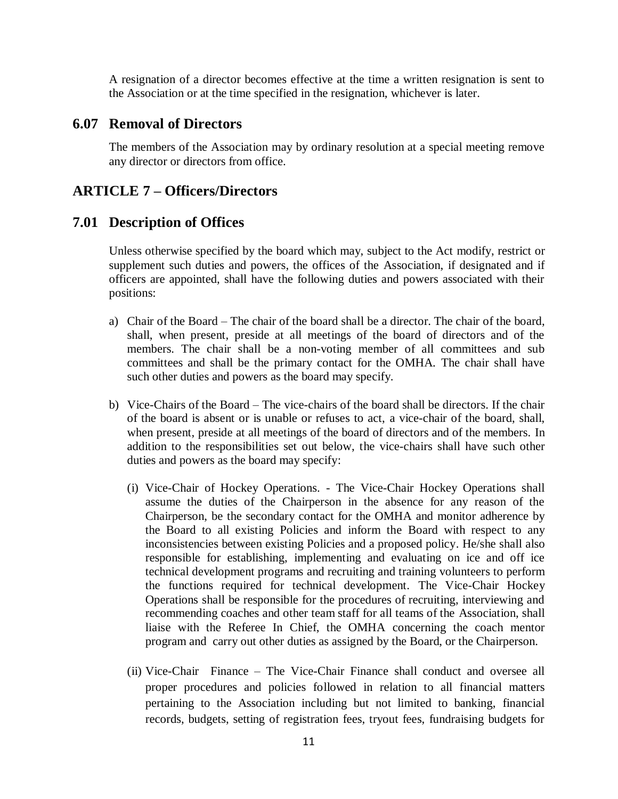A resignation of a director becomes effective at the time a written resignation is sent to the Association or at the time specified in the resignation, whichever is later.

### **6.07 Removal of Directors**

The members of the Association may by ordinary resolution at a special meeting remove any director or directors from office.

## **ARTICLE 7 – Officers/Directors**

### **7.01 Description of Offices**

Unless otherwise specified by the board which may, subject to the Act modify, restrict or supplement such duties and powers, the offices of the Association, if designated and if officers are appointed, shall have the following duties and powers associated with their positions:

- a) Chair of the Board The chair of the board shall be a director. The chair of the board, shall, when present, preside at all meetings of the board of directors and of the members. The chair shall be a non-voting member of all committees and sub committees and shall be the primary contact for the OMHA. The chair shall have such other duties and powers as the board may specify.
- b) Vice-Chairs of the Board The vice-chairs of the board shall be directors. If the chair of the board is absent or is unable or refuses to act, a vice-chair of the board, shall, when present, preside at all meetings of the board of directors and of the members. In addition to the responsibilities set out below, the vice-chairs shall have such other duties and powers as the board may specify:
	- (i) Vice-Chair of Hockey Operations. The Vice-Chair Hockey Operations shall assume the duties of the Chairperson in the absence for any reason of the Chairperson, be the secondary contact for the OMHA and monitor adherence by the Board to all existing Policies and inform the Board with respect to any inconsistencies between existing Policies and a proposed policy. He/she shall also responsible for establishing, implementing and evaluating on ice and off ice technical development programs and recruiting and training volunteers to perform the functions required for technical development. The Vice-Chair Hockey Operations shall be responsible for the procedures of recruiting, interviewing and recommending coaches and other team staff for all teams of the Association, shall liaise with the Referee In Chief, the OMHA concerning the coach mentor program and carry out other duties as assigned by the Board, or the Chairperson.
	- (ii) Vice-Chair Finance The Vice-Chair Finance shall conduct and oversee all proper procedures and policies followed in relation to all financial matters pertaining to the Association including but not limited to banking, financial records, budgets, setting of registration fees, tryout fees, fundraising budgets for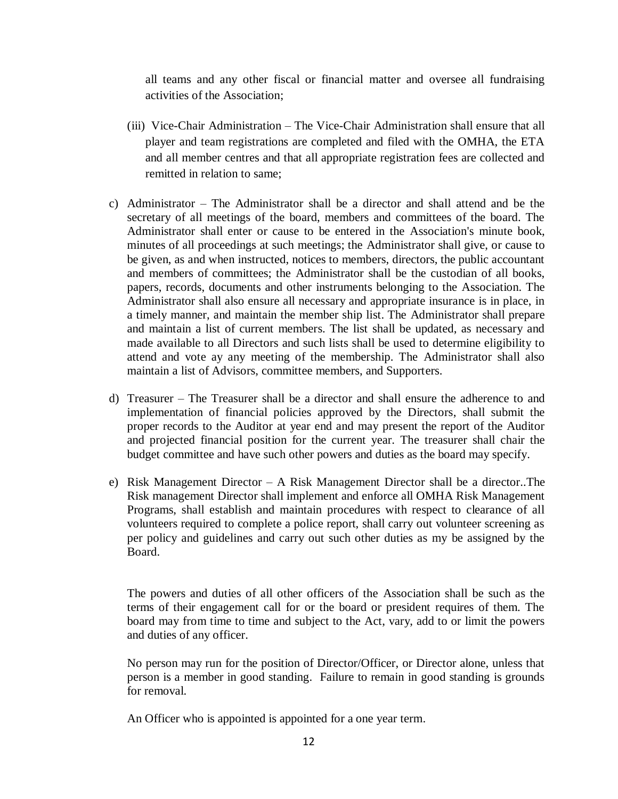all teams and any other fiscal or financial matter and oversee all fundraising activities of the Association;

- (iii) Vice-Chair Administration The Vice-Chair Administration shall ensure that all player and team registrations are completed and filed with the OMHA, the ETA and all member centres and that all appropriate registration fees are collected and remitted in relation to same;
- c) Administrator The Administrator shall be a director and shall attend and be the secretary of all meetings of the board, members and committees of the board. The Administrator shall enter or cause to be entered in the Association's minute book, minutes of all proceedings at such meetings; the Administrator shall give, or cause to be given, as and when instructed, notices to members, directors, the public accountant and members of committees; the Administrator shall be the custodian of all books, papers, records, documents and other instruments belonging to the Association. The Administrator shall also ensure all necessary and appropriate insurance is in place, in a timely manner, and maintain the member ship list. The Administrator shall prepare and maintain a list of current members. The list shall be updated, as necessary and made available to all Directors and such lists shall be used to determine eligibility to attend and vote ay any meeting of the membership. The Administrator shall also maintain a list of Advisors, committee members, and Supporters.
- d) Treasurer The Treasurer shall be a director and shall ensure the adherence to and implementation of financial policies approved by the Directors, shall submit the proper records to the Auditor at year end and may present the report of the Auditor and projected financial position for the current year. The treasurer shall chair the budget committee and have such other powers and duties as the board may specify.
- e) Risk Management Director A Risk Management Director shall be a director..The Risk management Director shall implement and enforce all OMHA Risk Management Programs, shall establish and maintain procedures with respect to clearance of all volunteers required to complete a police report, shall carry out volunteer screening as per policy and guidelines and carry out such other duties as my be assigned by the Board.

The powers and duties of all other officers of the Association shall be such as the terms of their engagement call for or the board or president requires of them. The board may from time to time and subject to the Act, vary, add to or limit the powers and duties of any officer.

No person may run for the position of Director/Officer, or Director alone, unless that person is a member in good standing. Failure to remain in good standing is grounds for removal.

An Officer who is appointed is appointed for a one year term.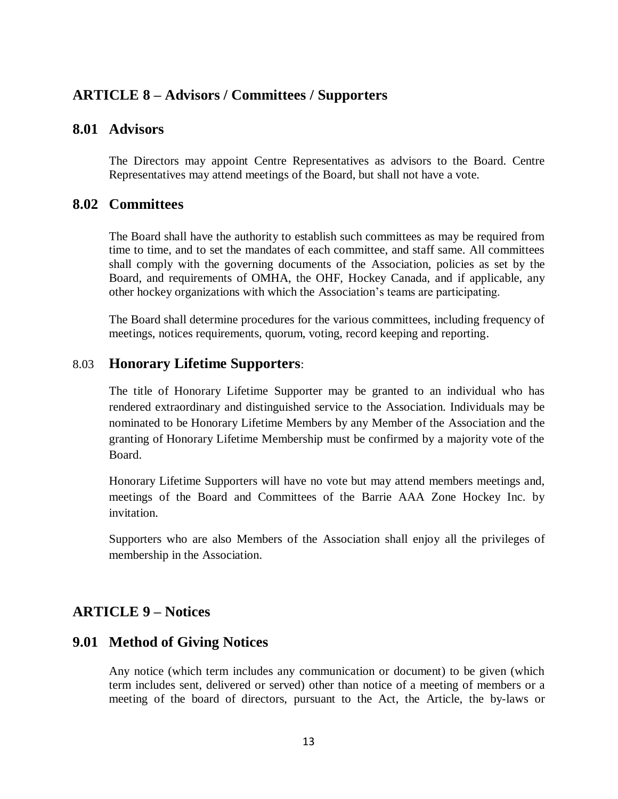# **ARTICLE 8 – Advisors / Committees / Supporters**

## **8.01 Advisors**

The Directors may appoint Centre Representatives as advisors to the Board. Centre Representatives may attend meetings of the Board, but shall not have a vote.

### **8.02 Committees**

The Board shall have the authority to establish such committees as may be required from time to time, and to set the mandates of each committee, and staff same. All committees shall comply with the governing documents of the Association, policies as set by the Board, and requirements of OMHA, the OHF, Hockey Canada, and if applicable, any other hockey organizations with which the Association's teams are participating.

The Board shall determine procedures for the various committees, including frequency of meetings, notices requirements, quorum, voting, record keeping and reporting.

### 8.03 **Honorary Lifetime Supporters**:

The title of Honorary Lifetime Supporter may be granted to an individual who has rendered extraordinary and distinguished service to the Association. Individuals may be nominated to be Honorary Lifetime Members by any Member of the Association and the granting of Honorary Lifetime Membership must be confirmed by a majority vote of the Board.

Honorary Lifetime Supporters will have no vote but may attend members meetings and, meetings of the Board and Committees of the Barrie AAA Zone Hockey Inc. by invitation.

Supporters who are also Members of the Association shall enjoy all the privileges of membership in the Association.

### **ARTICLE 9 – Notices**

### **9.01 Method of Giving Notices**

Any notice (which term includes any communication or document) to be given (which term includes sent, delivered or served) other than notice of a meeting of members or a meeting of the board of directors, pursuant to the Act, the Article, the by-laws or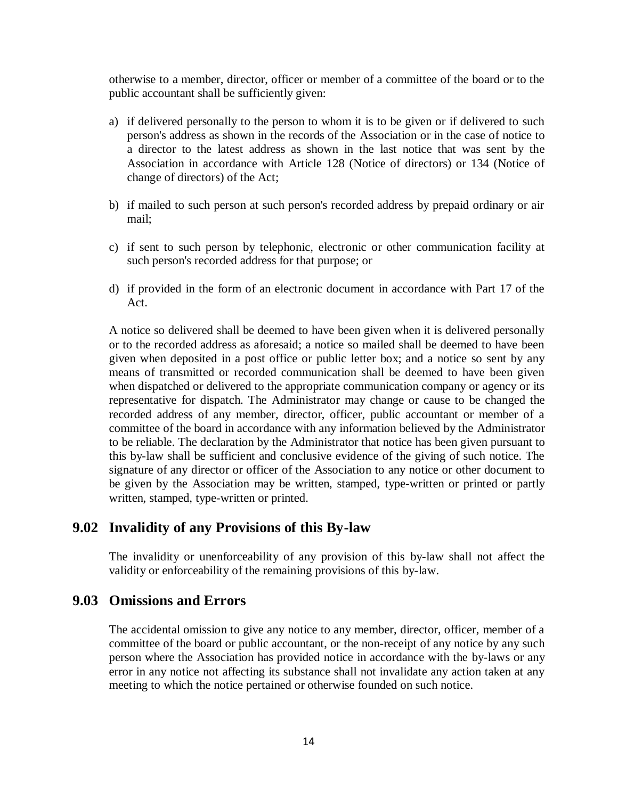otherwise to a member, director, officer or member of a committee of the board or to the public accountant shall be sufficiently given:

- a) if delivered personally to the person to whom it is to be given or if delivered to such person's address as shown in the records of the Association or in the case of notice to a director to the latest address as shown in the last notice that was sent by the Association in accordance with Article 128 (Notice of directors) or 134 (Notice of change of directors) of the Act;
- b) if mailed to such person at such person's recorded address by prepaid ordinary or air mail;
- c) if sent to such person by telephonic, electronic or other communication facility at such person's recorded address for that purpose; or
- d) if provided in the form of an electronic document in accordance with Part 17 of the Act.

A notice so delivered shall be deemed to have been given when it is delivered personally or to the recorded address as aforesaid; a notice so mailed shall be deemed to have been given when deposited in a post office or public letter box; and a notice so sent by any means of transmitted or recorded communication shall be deemed to have been given when dispatched or delivered to the appropriate communication company or agency or its representative for dispatch. The Administrator may change or cause to be changed the recorded address of any member, director, officer, public accountant or member of a committee of the board in accordance with any information believed by the Administrator to be reliable. The declaration by the Administrator that notice has been given pursuant to this by-law shall be sufficient and conclusive evidence of the giving of such notice. The signature of any director or officer of the Association to any notice or other document to be given by the Association may be written, stamped, type-written or printed or partly written, stamped, type-written or printed.

### **9.02 Invalidity of any Provisions of this By-law**

The invalidity or unenforceability of any provision of this by-law shall not affect the validity or enforceability of the remaining provisions of this by-law.

### **9.03 Omissions and Errors**

The accidental omission to give any notice to any member, director, officer, member of a committee of the board or public accountant, or the non-receipt of any notice by any such person where the Association has provided notice in accordance with the by-laws or any error in any notice not affecting its substance shall not invalidate any action taken at any meeting to which the notice pertained or otherwise founded on such notice.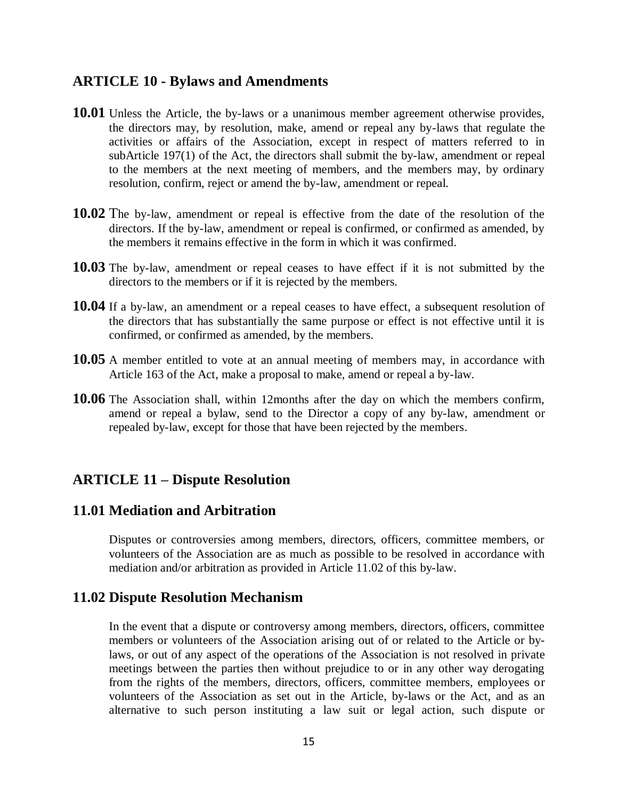## **ARTICLE 10 - Bylaws and Amendments**

- **10.01** Unless the Article, the by-laws or a unanimous member agreement otherwise provides, the directors may, by resolution, make, amend or repeal any by-laws that regulate the activities or affairs of the Association, except in respect of matters referred to in subArticle 197(1) of the Act, the directors shall submit the by-law, amendment or repeal to the members at the next meeting of members, and the members may, by ordinary resolution, confirm, reject or amend the by-law, amendment or repeal.
- **10.02** The by-law, amendment or repeal is effective from the date of the resolution of the directors. If the by-law, amendment or repeal is confirmed, or confirmed as amended, by the members it remains effective in the form in which it was confirmed.
- **10.03** The by-law, amendment or repeal ceases to have effect if it is not submitted by the directors to the members or if it is rejected by the members.
- **10.04** If a by-law, an amendment or a repeal ceases to have effect, a subsequent resolution of the directors that has substantially the same purpose or effect is not effective until it is confirmed, or confirmed as amended, by the members.
- **10.05** A member entitled to vote at an annual meeting of members may, in accordance with Article 163 of the Act, make a proposal to make, amend or repeal a by-law.
- **10.06** The Association shall, within 12months after the day on which the members confirm, amend or repeal a bylaw, send to the Director a copy of any by-law, amendment or repealed by-law, except for those that have been rejected by the members.

# **ARTICLE 11 – Dispute Resolution**

### **11.01 Mediation and Arbitration**

Disputes or controversies among members, directors, officers, committee members, or volunteers of the Association are as much as possible to be resolved in accordance with mediation and/or arbitration as provided in Article 11.02 of this by-law.

### **11.02 Dispute Resolution Mechanism**

In the event that a dispute or controversy among members, directors, officers, committee members or volunteers of the Association arising out of or related to the Article or bylaws, or out of any aspect of the operations of the Association is not resolved in private meetings between the parties then without prejudice to or in any other way derogating from the rights of the members, directors, officers, committee members, employees or volunteers of the Association as set out in the Article, by-laws or the Act, and as an alternative to such person instituting a law suit or legal action, such dispute or